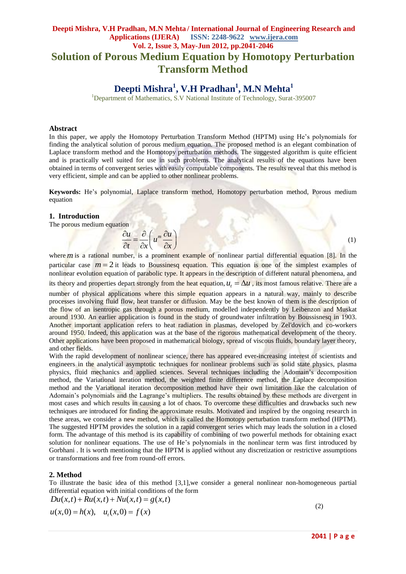### **Deepti Mishra, V.H Pradhan, M.N Mehta / International Journal of Engineering Research and Applications (IJERA) ISSN: 2248-9622 www.ijera.com Vol. 2, Issue 3, May-Jun 2012, pp.2041-2046 Solution of Porous Medium Equation by Homotopy Perturbation Transform Method**

# **Deepti Mishra<sup>1</sup> , V.H Pradhan<sup>1</sup> , M.N Mehta<sup>1</sup>**

<sup>1</sup>Department of Mathematics, S.V National Institute of Technology, Surat-395007

#### **Abstract**

In this paper, we apply the Homotopy Perturbation Transform Method (HPTM) using He's polynomials for finding the analytical solution of porous medium equation. The proposed method is an elegant combination of Laplace transform method and the Homotopy perturbation methods. The suggested algorithm is quite efficient and is practically well suited for use in such problems. The analytical results of the equations have been obtained in terms of convergent series with easily computable components. The results reveal that this method is very efficient, simple and can be applied to other nonlinear problems.

**Keywords:** He's polynomial, Laplace transform method, Homotopy perturbation method, Porous medium equation

#### **1. Introduction**

The porous medium equation

$$
\frac{\partial u}{\partial t} = \frac{\partial}{\partial x} \left( u^m \frac{\partial u}{\partial x} \right)
$$

where *m* is a rational number, is a prominent example of nonlinear partial differential equation [8]. In the particular case  $m = 2$  it leads to Boussinesq equation. This equation is one of the simplest examples of nonlinear evolution equation of parabolic type. It appears in the description of different natural phenomena, and its theory and properties depart strongly from the heat equation,  $u_t = \Delta u$ , its most famous relative. There are a

number of physical applications where this simple equation appears in a natural way, mainly to describe processes involving fluid flow, heat transfer or diffusion. May be the best known of them is the description of the flow of an isentropic gas through a porous medium, modelled independently by Leibenzon and Muskat around 1930. An earlier application is found in the study of groundwater infiltration by Boussisnesq in 1903. Another important application refers to heat radiation in plasmas, developed by Zel'dovich and co-workers around 1950. Indeed, this application was at the base of the rigorous mathematical development of the theory. Other applications have been proposed in mathematical biology, spread of viscous fluids, boundary layer theory, and other fields.

With the rapid development of nonlinear science, there has appeared ever-increasing interest of scientists and engineers in the analytical asymptotic techniques for nonlinear problems such as solid state physics, plasma physics, fluid mechanics and applied sciences. Several techniques including the Adomain's decomposition method, the Variational iteration method, the weighted finite difference method, the Laplace decomposition method and the Variational iteration decomposition method have their own limitation like the calculation of Adomain's polynomials and the Lagrange's multipliers. The results obtained by these methods are divergent in most cases and which results in causing a lot of chaos. To overcome these difficulties and drawbacks such new techniques are introduced for finding the approximate results. Motivated and inspired by the ongoing research in these areas, we consider a new method, which is called the Homotopy perturbation transform method (HPTM). The suggested HPTM provides the solution in a rapid convergent series which may leads the solution in a closed form. The advantage of this method is its capability of combining of two powerful methods for obtaining exact solution for nonlinear equations. The use of He's polynomials in the nonlinear term was first introduced by Gorbhani . It is worth mentioning that the HPTM is applied without any discretization or restrictive assumptions or transformations and free from round-off errors.

#### **2. Method**

To illustrate the basic idea of this method [3,1],we consider a general nonlinear non-homogeneous partial differential equation with initial conditions of the form  $Du(x,t) + Ru(x,t) + Nu(x,t) = g(x,t)$ 

$$
Du(x,t) + Ru(x,t) + Nu(x,t) = g(x,t)
$$
  
 
$$
u(x,0) = h(x), \quad u_t(x,0) = f(x)
$$
 (2)

**2041 | P a g e**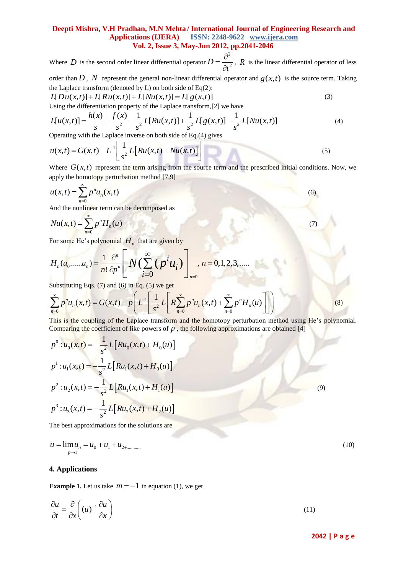#### **Deepti Mishra, V.H Pradhan, M.N Mehta / International Journal of Engineering Research and Applications (IJERA) ISSN: 2248-9622 www.ijera.com Vol. 2, Issue 3, May-Jun 2012, pp.2041-2046**

Where  $D$  is the second order linear differential operator 2  $D = \frac{b}{\partial t^2}$  $=\frac{\partial}{\partial t}$  $\widehat{o}$ , *R* is the linear differential operator of less

order than *D*, *N* represent the general non-linear differential operator and  $g(x,t)$  is the source term. Taking<br>the Laplace transform (denoted by L) on both side of Eq(2):<br> $L[Du(x,t)] + L[Ru(x,t)] + L[Mu(x,t)] = L[g(x,t)]$  (3) the Laplace transform (denoted by L) on both side of  $Eq(2)$ :

$$
L[Du(x,t)] + L[Ru(x,t)] + L[Nu(x,t)] = L[g(x,t)]
$$
  
Using the differentiation property of the Laplace transform [2] we have

the Laplace transform (denoted by L) on both side of Eq(2):  
\n
$$
L[Du(x,t)] + L[Ru(x,t)] + L[Nu(x,t)] = L[g(x,t)]
$$
\nUsing the differentiation property of the Laplace transform, [2] we have  
\n
$$
L[u(x,t)] = \frac{h(x)}{s} + \frac{f(x)}{s^2} - \frac{1}{s^2}L[Ru(x,t)] + \frac{1}{s^2}L[g(x,t)] - \frac{1}{s^2}L[Nu(x,t)]
$$
\n(4)  
\nOperating with the Laplace inverse on both side of Eq.(4) gives

Operating with the Laplace inverse on both side of Eq.(4) gives  
\n
$$
u(x,t) = G(x,t) - L^{-1} \left[ \frac{1}{s^2} L \left[ Ru(x,t) + Nu(x,t) \right] \right]
$$
\n(5)

Where  $G(x,t)$  represent the term arising from the source term and the prescribed initial conditions. Now, we apply the homotopy perturbation method [7,9]

$$
u(x,t) = \sum_{n=0}^{\infty} p^n u_n(x,t)
$$
 (6)

And the nonlinear term can be decomposed as

$$
Nu(x,t) = \sum_{n=0}^{\infty} p^n H_n(u)
$$
\n(7)

$$
Nu(x,t) = \sum_{n=0} p^{n} H_{n}(u)
$$
  
For some He's polynomial  $H_{n}$  that are given by  

$$
H_{n}(u_{0},...,u_{n}) = \frac{1}{n!} \frac{\partial^{n}}{\partial p^{n}} \left[ N \left( \sum_{i=0}^{\infty} \left( p^{i} u_{i} \right) \right)_{p=0}, n = 0,1,2,3,......
$$

Substituting Eqs.  $(7)$  and  $(6)$  in Eq.  $(5)$  we get

$$
H_n(u_0, \dots, u_n) = \frac{1}{n!} \frac{\partial}{\partial p^n} \left[ N \left( \sum_{i=0}^n \left( p^t u_i \right) \right]_{p=0}, n = 0, 1, 2, 3, \dots
$$
  
\nSubstituting Eqs. (7) and (6) in Eq. (5) we get  
\n
$$
\sum_{n=0}^{\infty} p^n u_n(x, t) = G(x, t) - p \left( L^{-1} \left[ \frac{1}{s^2} L \left[ R \sum_{n=0}^{\infty} p^n u_n(x, t) + \sum_{n=0}^{\infty} p^n H_n(u) \right] \right] \right)
$$
\n(B)

This is the coupling of the Laplace transform and the homotopy perturbation method using He's polynomial. Comparing the coefficient of like powers of *p*, the following approximations are obtained [4]<br>  $p^0$ :  $u_0(x,t) = -\frac{1}{c^2} L[Ru_0(x,t) + H_0(u)]$ 

$$
p^{0}: u_{0}(x,t) = -\frac{1}{s^{2}} L[Ru_{0}(x,t) + H_{0}(u)]
$$
  
\n
$$
p^{1}: u_{1}(x,t) = -\frac{1}{s^{2}} L[Ru_{1}(x,t) + H_{0}(u)]
$$
  
\n
$$
p^{2}: u_{2}(x,t) = -\frac{1}{s^{2}} L[Ru_{1}(x,t) + H_{1}(u)]
$$
  
\n
$$
p^{3}: u_{3}(x,t) = -\frac{1}{s^{2}} L[Ru_{2}(x,t) + H_{2}(u)]
$$
\n(9)

The best approximations for the solutions are

$$
u = \lim_{p \to 1} u_n = u_0 + u_1 + u_{2 + \dots}
$$
\n(10)

#### **4. Applications**

**Example 1.** Let us take  $m = -1$  in equation (1), we get

$$
\frac{\partial u}{\partial t} = \frac{\partial}{\partial x} \left( (u)^{-1} \frac{\partial u}{\partial x} \right)
$$
(11)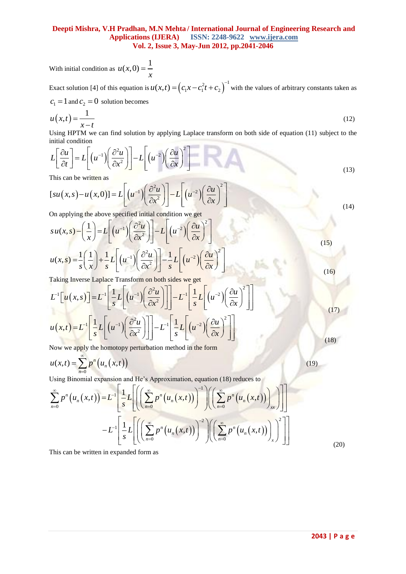#### **Deepti Mishra, V.H Pradhan, M.N Mehta / International Journal of Engineering Research and Applications (IJERA) ISSN: 2248-9622 www.ijera.com Vol. 2, Issue 3, May-Jun 2012, pp.2041-2046**

With initial condition as  $u(x,0) = \frac{1}{x}$ *x*  $=$ 

Exact solution [4] of this equation is  $u(x,t) = (c_1x - c_1^2t + c_2)^{-1}$  with the values of arbitrary constants taken as  $c_1 = 1$  and  $c_2 = 0$  solution becomes

$$
u(x,t) = \frac{1}{x-t}
$$
 (12)

Using HPTM we can find solution by applying Laplace transform on both side of equation (11) subject to the initial condition<br> $L\left[\frac{\partial u}{\partial u}\right] = L\left[(u^{-1})\left(\frac{\partial^2 u}{\partial u}\right)\right] - L\left[(u^{-2})\left(\frac{\partial u}{\partial u}\right)^2\right]$ initial condition

mulai conduloh  

$$
L\left[\frac{\partial u}{\partial t}\right] = L\left[\left(u^{-1}\right)\left(\frac{\partial^2 u}{\partial x^2}\right)\right] - L\left[\left(u^{-2}\right)\left(\frac{\partial u}{\partial x}\right)^2\right]
$$
(13)

This can be written as

This can be written as  
\n
$$
[su(x, s) - u(x, 0)] = L\left[ (u^{-1}) \left( \frac{\partial^2 u}{\partial x^2} \right) \right] - L\left[ (u^{-2}) \left( \frac{\partial u}{\partial x} \right)^2 \right]
$$
\n(13)

On applying the above specified initial condition we get  
\n
$$
su(x, s) - \left(\frac{1}{x}\right) = L\left[\left(u^{-1}\right)\left(\frac{\partial^2 u}{\partial x^2}\right)\right] - L\left[\left(u^{-2}\right)\left(\frac{\partial u}{\partial x}\right)^2\right]
$$
\n
$$
u(x, s) = \frac{1}{s} \left(\frac{1}{x}\right) + \frac{1}{s} L\left[\left(u^{-1}\right)\left(\frac{\partial^2 u}{\partial x^2}\right)\right] - \frac{1}{s} L\left[\left(u^{-2}\right)\left(\frac{\partial u}{\partial x}\right)^2\right]
$$
\n
$$
u(x, s) = \frac{1}{s} \left(\frac{1}{x}\right) + \frac{1}{s} L\left[\left(u^{-1}\right)\left(\frac{\partial^2 u}{\partial x^2}\right)\right] - \frac{1}{s} L\left[\left(u^{-2}\right)\left(\frac{\partial u}{\partial x}\right)^2\right]
$$
\n(16)

Taking Inverse Laplace Transform on both sides we get  
\n
$$
L^{-1}\left[u(x,s)\right] = L^{-1}\left[\frac{1}{s}L\left[(u^{-1})\left(\frac{\partial^2 u}{\partial x^2}\right)\right]\right] - L^{-1}\left[\frac{1}{s}L\left[(u^{-2})\left(\frac{\partial u}{\partial x}\right)^2\right]\right]
$$
\n
$$
u(x,t) = L^{-1}\left[\frac{1}{s}L\left[(u^{-1})\left(\frac{\partial^2 u}{\partial x^2}\right)\right]\right] - L^{-1}\left[\frac{1}{s}L\left[(u^{-2})\left(\frac{\partial u}{\partial x}\right)^2\right]\right]
$$

Now we apply the homotopy perturbation method in the form

$$
u(x,t) = \sum_{n=0}^{\infty} p^n \left( u_n(x,t) \right) \tag{19}
$$

Using Binomial expansion and He's Approximation, equation (18) reduces to

$$
u(x,t) = \sum_{n=0}^{\infty} p^n \left( u_n(x,t) \right)
$$
  
\nUsing Binomial expansion and He's Approximation, equation (18) reduces to  
\n
$$
\sum_{n=0}^{\infty} p^n \left( u_n(x,t) \right) = L^{-1} \left[ \frac{1}{s} L \left[ \left( \sum_{n=0}^{\infty} p^n \left( u_n(x,t) \right) \right)^{-1} \right] \left( \sum_{n=0}^{\infty} p^n \left( u_n(x,t) \right) \right) \right]
$$
\n
$$
- L^{-1} \left[ \frac{1}{s} L \left[ \left( \sum_{n=0}^{\infty} p^n \left( u_n(x,t) \right) \right)^{-2} \right] \left( \sum_{n=0}^{\infty} p^n \left( u_n(x,t) \right) \right) \right]^2 \right]
$$
\n
$$
(20)
$$

This can be written in expanded form as

(17)

 $(18)$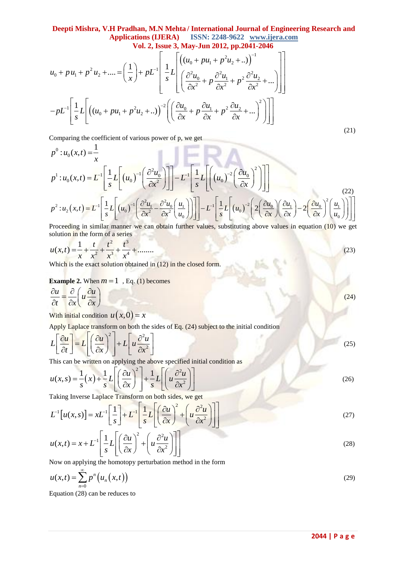# **Deepti Mishra, V.H Pradhan, M.N Mehta / International Journal of Engineering Research and**

**Deepti Mishra, V.H Pradhan, M.N Mehta/ International Journal of Engineering Research and  
\n**Applications (IJERA)** ISSN: 2248-9622 www.ijera.com  
\nVol. 2, Issue 3, May-Jun 2012, pp.2041-2046  
\n
$$
u_0 + pu_1 + p^2 u_2 + .... = \left(\frac{1}{x}\right) + pL^{-1} \left[\frac{1}{s}L\left[\left((u_0 + pu_1 + p^2 u_2 + ..)\right)^{-1} + \frac{1}{s}\left[\left(\frac{\partial^2 u_0}{\partial x^2} + p \frac{\partial^2 u_1}{\partial x^2} + p^2 \frac{\partial^2 u_2}{\partial x^2} + ...\right)\right]\right]
$$
\n
$$
- pL^{-1} \left[\frac{1}{s}L\left[\left((u_0 + pu_1 + p^2 u_2 + ..)\right)^{-2}\left(\left(\frac{\partial u_0}{\partial x} + p \frac{\partial u_1}{\partial x} + p^2 \frac{\partial u_2}{\partial x} + ...\right)^2\right)\right]\right]
$$
\n(21)**

Comparing the coefficient of various power of p, we get

$$
p^{0}: u_{0}(x,t) = \frac{1}{x}
$$
\n
$$
p^{1}: u_{0}(x,t) = L^{-1} \left[ \frac{1}{s} L \left[ (u_{0})^{-1} \left( \frac{\partial^{2} u_{0}}{\partial x^{2}} \right) \right] \right] - L^{-1} \left[ \frac{1}{s} L \left[ \left( (u_{0})^{-2} \left( \frac{\partial u_{0}}{\partial x} \right)^{2} \right) \right] \right]
$$
\n
$$
p^{2}: u_{2}(x,t) = L^{-1} \left[ \frac{1}{s} L \left[ (u_{0})^{-1} \left( \frac{\partial^{2} u_{1}}{\partial x^{2}} - \frac{\partial^{2} u_{0}}{\partial x^{2}} \left( \frac{u_{1}}{u_{0}} \right) \right) \right] \right] - L^{-1} \left[ \frac{1}{s} L \left[ (u_{0})^{-2} \left( 2 \left( \frac{\partial u_{0}}{\partial x} \right) \left( \frac{\partial u_{1}}{\partial x} \right) - 2 \left( \frac{\partial u_{0}}{\partial x} \right)^{2} \left( \frac{u_{1}}{u_{0}} \right) \right] \right] \right]
$$
\nProceeding in similar manner we can obtain further values, substituting above values in equation (10) we get

Proceeding in similar manner we can obtain further values, substituting above values in equation (10) we get

solution in the form of a series  

$$
u(x,t) = \frac{1}{x} + \frac{t}{x^2} + \frac{t^2}{x^3} + \frac{t^3}{x^4} + \dots
$$
 (23)

Which is the exact solution obtained in (12) in the closed form.

#### **Example 2.** When  $m = 1$ , Eq. (1) becomes

$$
\frac{\partial u}{\partial t} = \frac{\partial}{\partial x} \left( u \frac{\partial u}{\partial x} \right)
$$
\n(24)

With initial condition  $u(x,0) = x$ 

Apply Laplace transform on both the sides of Eq. (24) subject to the initial condition  
\n
$$
L\left[\frac{\partial u}{\partial t}\right] = L\left[\left(\frac{\partial u}{\partial x}\right)^2\right] + L\left[u\frac{\partial^2 u}{\partial x^2}\right]
$$
\nThis can be written on applying the above specified initial condition as\n(25)

This can be written on applying the above specified initial condition as  
\n
$$
u(x, s) = \frac{1}{s}(x) + \frac{1}{s}L\left[\left(\frac{\partial u}{\partial x}\right)^2 + \frac{1}{s}L\left[\left(u\frac{\partial^2 u}{\partial x^2}\right)\right]\right]
$$
\n(26)

Taking Inverse Laplace Transform on both sides, we get  
\n
$$
L^{-1}[u(x,s)] = xL^{-1}\left[\frac{1}{s}\right] + L^{-1}\left[\frac{1}{s}L\left[\left(\frac{\partial u}{\partial x}\right)^2 + \left(u\frac{\partial^2 u}{\partial x^2}\right)\right]\right]
$$
\n
$$
u(x,t) = x + L^{-1}\left[\frac{1}{s}L\left[\left(\frac{\partial u}{\partial x}\right)^2 + \left(u\frac{\partial^2 u}{\partial x^2}\right)\right]\right]
$$
\n(27)

$$
u(x,t) = x + L^{-1} \left[ \frac{1}{s} L \left[ \left( \frac{\partial u}{\partial x} \right)^2 + \left( u \frac{\partial^2 u}{\partial x^2} \right) \right] \right]
$$
(28)

Now on applying the homotopy perturbation method in the form

$$
u(x,t) = \sum_{n=0}^{\infty} p^n \left( u_n(x,t) \right) \tag{29}
$$

Equation (28) can be reduces to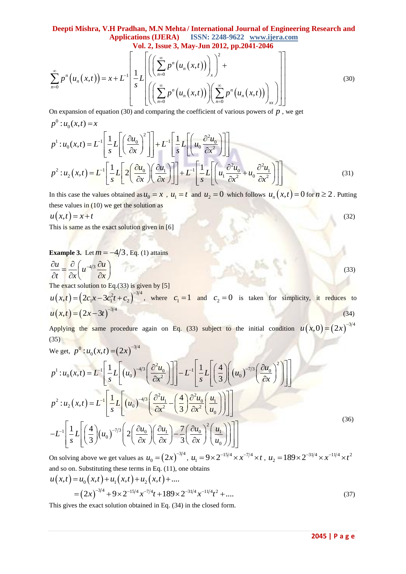## **Deepti Mishra, V.H Pradhan, M.N Mehta / International Journal of Engineering Research and Applications (IJERA) ISSN: 2248-9622 www.ijera.com**

**Vol. 2, Issue 3, May-Jun 2012, pp.2041-2046**

**Deepti Mishra, V.H Pradhan, M.N Mehta/ International Journal of Engineering Research and Applications (IJERA)** ISSN: 2248-9622 www.ijera.com Vol. 2, Issue 3, May-Jun 2012, pp.2041-2046\n
$$
\sum_{n=0}^{\infty} p^n \left( u_n(x,t) \right) = x + L^{-1} \left[ \frac{1}{s} L \left[ \left( \sum_{n=0}^{\infty} p^n \left( u_n(x,t) \right) \right)_x \right)^2 + \left[ \left( \sum_{n=0}^{\infty} p^n \left( u_n(x,t) \right) \right)_x \right]^2 + \left[ \left( \sum_{n=0}^{\infty} p^n \left( u_n(x,t) \right) \right)_x \right]^2 \right]
$$
\nOn expansion of equation (30) and comparing the coefficient of various powers of *D*, we get

On expansion of equation (30) and comparing the coefficient of various powers of  $p$ , we get

$$
p^{0}:u_{0}(x,t)=x
$$
\n
$$
p^{1}:u_{0}(x,t)=L^{-1}\left[\frac{1}{s}L\left[\left(\frac{\partial u_{0}}{\partial x}\right)^{2}\right]\right]+L^{-1}\left[\frac{1}{s}L\left[\left(u_{0}\frac{\partial^{2}u_{0}}{\partial x^{2}}\right]\right]\right]
$$
\n
$$
p^{2}:u_{2}(x,t)=L^{-1}\left[\frac{1}{s}L\left[2\left(\frac{\partial u_{0}}{\partial x}\right)\left(\frac{\partial u_{1}}{\partial x}\right)\right]\right]+L^{-1}\left[\frac{1}{s}L\left[\left(u_{1}\frac{\partial^{2}u_{0}}{\partial x^{2}}+u_{0}\frac{\partial^{2}u_{1}}{\partial x^{2}}\right]\right]\right]
$$
\n(31)

In this case the values obtained as  $u_0 = x$ ,  $u_1 = t$  and  $u_2 = 0$  which follows  $u_n(x,t) = 0$  for  $n \ge 2$ . Putting these values in  $(10)$  we get the solution as

$$
u(x,t) = x+t
$$
\nThis is some set between given in [6].

\n(32)

This is same as the exact solution given in [6]

**Example 3.** Let  $m = -4/3$ , Eq. (1) attains

$$
\frac{\partial u}{\partial t} = \frac{\partial}{\partial x} \left( u^{-4/3} \frac{\partial u}{\partial x} \right)
$$
\nThe exact solution to Eq.(33) is given by [5]

 $u(x,t) = (2c_1x - 3c_1^2t + c_2)^{-3/4}$ , where  $c_1 = 1$  and  $c_2 = 0$  is taken for simplicity, it reduces to  $u(x,t) = (2x-3t)^{-3/4}$  (34)

Applying the same procedure again on Eq. (33) subject to the initial condition  $u(x,0) = (2x)^{-3/4}$ (35)

(35)  
\nWe get, 
$$
p^0: u_0(x,t) = (2x)^{-3/4}
$$
  
\n
$$
p^1: u_0(x,t) = L^{-1} \left[ \frac{1}{s} L \left[ (u_0)^{-4/3} \left( \frac{\partial^2 u_0}{\partial x^2} \right) \right] - L^{-1} \left[ \frac{1}{s} L \left[ \left( \frac{4}{3} \right) \left( (u_0)^{-7/3} \left( \frac{\partial u_0}{\partial x} \right)^2 \right) \right] \right]
$$
\n
$$
p^2: u_2(x,t) = L^{-1} \left[ \frac{1}{s} L \left[ (u_0)^{-4/3} \left( \frac{\partial^2 u_1}{\partial x^2} - \left( \frac{4}{3} \right) \frac{\partial^2 u_0}{\partial x^2} \left( \frac{u_1}{u_0} \right) \right) \right] \right]
$$
\n
$$
- L^{-1} \left[ \frac{1}{s} L \left[ \left( \frac{4}{3} \right) (u_0)^{-7/3} \left( 2 \left( \frac{\partial u_0}{\partial x} \right) \left( \frac{\partial u_1}{\partial x} \right) - \frac{7}{3} \left( \frac{\partial u_0}{\partial x} \right)^2 \left( \frac{u_1}{u_0} \right) \right) \right] \right]
$$
\n(36)

On solving above we get values as  $u_0 = (2x)^{-3/4}$ ,  $u_1 = 9 \times 2^{-15/4} \times x^{-7/4} \times t$ ,  $u_2 = 189 \times 2^{-31/4} \times x^{-11/4} \times t^2$ and so on. Substituting these terms in Eq. (11), one obtains  $u(x,t) = u_0(x,t) + u_1(x,t) + u_2(x,t) + ...$ 

$$
u(x,t) = u_0(x,t) + u_1(x,t) + u_2(x,t) + \dots
$$
  
=  $(2x)^{-3/4} + 9 \times 2^{-15/4} x^{-7/4} t + 189 \times 2^{-31/4} x^{-11/4} t^2 + \dots$  (37)

This gives the exact solution obtained in Eq. (34) in the closed form.